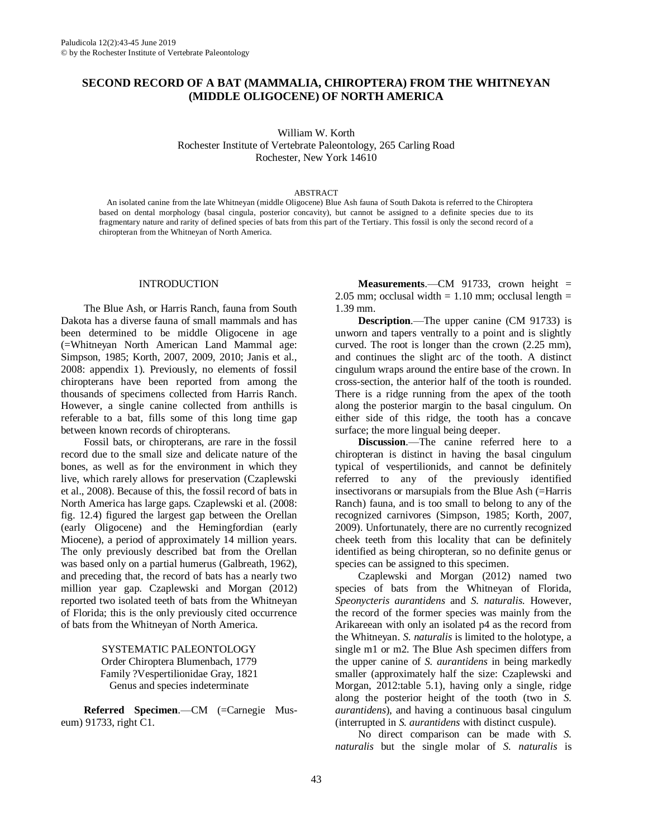# **SECOND RECORD OF A BAT (MAMMALIA, CHIROPTERA) FROM THE WHITNEYAN (MIDDLE OLIGOCENE) OF NORTH AMERICA**

William W. Korth Rochester Institute of Vertebrate Paleontology, 265 Carling Road Rochester, New York 14610

#### ABSTRACT

An isolated canine from the late Whitneyan (middle Oligocene) Blue Ash fauna of South Dakota is referred to the Chiroptera based on dental morphology (basal cingula, posterior concavity), but cannot be assigned to a definite species due to its fragmentary nature and rarity of defined species of bats from this part of the Tertiary. This fossil is only the second record of a chiropteran from the Whitneyan of North America.

#### INTRODUCTION

The Blue Ash, or Harris Ranch, fauna from South Dakota has a diverse fauna of small mammals and has been determined to be middle Oligocene in age (=Whitneyan North American Land Mammal age: Simpson, 1985; Korth, 2007, 2009, 2010; Janis et al., 2008: appendix 1). Previously, no elements of fossil chiropterans have been reported from among the thousands of specimens collected from Harris Ranch. However, a single canine collected from anthills is referable to a bat, fills some of this long time gap between known records of chiropterans.

Fossil bats, or chiropterans, are rare in the fossil record due to the small size and delicate nature of the bones, as well as for the environment in which they live, which rarely allows for preservation (Czaplewski et al., 2008). Because of this, the fossil record of bats in North America has large gaps. Czaplewski et al. (2008: fig. 12.4) figured the largest gap between the Orellan (early Oligocene) and the Hemingfordian (early Miocene), a period of approximately 14 million years. The only previously described bat from the Orellan was based only on a partial humerus (Galbreath, 1962), and preceding that, the record of bats has a nearly two million year gap. Czaplewski and Morgan (2012) reported two isolated teeth of bats from the Whitneyan of Florida; this is the only previously cited occurrence of bats from the Whitneyan of North America.

> SYSTEMATIC PALEONTOLOGY Order Chiroptera Blumenbach, 1779 Family ?Vespertilionidae Gray, 1821 Genus and species indeterminate

**Referred Specimen**.—CM (=Carnegie Museum) 91733, right C1.

**Measurements**.—CM 91733, crown height = 2.05 mm; occlusal width  $= 1.10$  mm; occlusal length  $=$ 1.39 mm.

**Description**.—The upper canine (CM 91733) is unworn and tapers ventrally to a point and is slightly curved. The root is longer than the crown (2.25 mm), and continues the slight arc of the tooth. A distinct cingulum wraps around the entire base of the crown. In cross-section, the anterior half of the tooth is rounded. There is a ridge running from the apex of the tooth along the posterior margin to the basal cingulum. On either side of this ridge, the tooth has a concave surface; the more lingual being deeper.

**Discussion**.—The canine referred here to a chiropteran is distinct in having the basal cingulum typical of vespertilionids, and cannot be definitely referred to any of the previously identified insectivorans or marsupials from the Blue Ash (=Harris Ranch) fauna, and is too small to belong to any of the recognized carnivores (Simpson, 1985; Korth, 2007, 2009). Unfortunately, there are no currently recognized cheek teeth from this locality that can be definitely identified as being chiropteran, so no definite genus or species can be assigned to this specimen.

Czaplewski and Morgan (2012) named two species of bats from the Whitneyan of Florida, *Speonycteris aurantidens* and *S. naturalis*. However, the record of the former species was mainly from the Arikareean with only an isolated p4 as the record from the Whitneyan. *S. naturalis* is limited to the holotype, a single m1 or m2. The Blue Ash specimen differs from the upper canine of *S. aurantidens* in being markedly smaller (approximately half the size: Czaplewski and Morgan, 2012:table 5.1), having only a single, ridge along the posterior height of the tooth (two in *S. aurantidens*), and having a continuous basal cingulum (interrupted in *S. aurantidens* with distinct cuspule).

No direct comparison can be made with *S. naturalis* but the single molar of *S. naturalis* is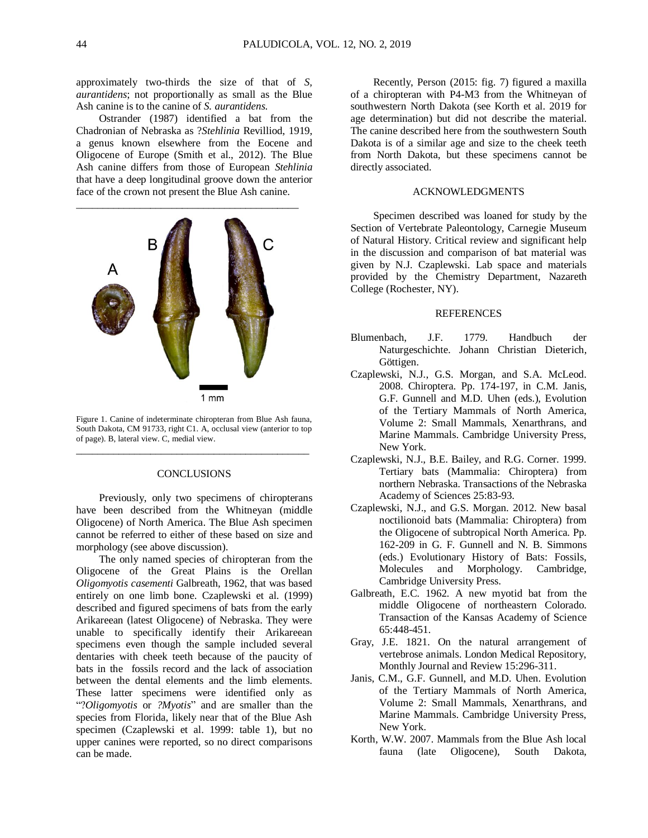approximately two-thirds the size of that of *S, aurantidens*; not proportionally as small as the Blue Ash canine is to the canine of *S. aurantidens*.

Ostrander (1987) identified a bat from the Chadronian of Nebraska as ?*Stehlinia* Revilliod, 1919, a genus known elsewhere from the Eocene and Oligocene of Europe (Smith et al., 2012). The Blue Ash canine differs from those of European *Stehlinia* that have a deep longitudinal groove down the anterior face of the crown not present the Blue Ash canine.



Figure 1. Canine of indeterminate chiropteran from Blue Ash fauna, South Dakota, CM 91733, right C1. A, occlusal view (anterior to top of page). B, lateral view. C, medial view. \_\_\_\_\_\_\_\_\_\_\_\_\_\_\_\_\_\_\_\_\_\_\_\_\_\_\_\_\_\_\_\_\_\_\_\_\_\_\_\_\_\_\_\_

## **CONCLUSIONS**

Previously, only two specimens of chiropterans have been described from the Whitneyan (middle Oligocene) of North America. The Blue Ash specimen cannot be referred to either of these based on size and morphology (see above discussion).

The only named species of chiropteran from the Oligocene of the Great Plains is the Orellan *Oligomyotis casementi* Galbreath, 1962, that was based entirely on one limb bone. Czaplewski et al. (1999) described and figured specimens of bats from the early Arikareean (latest Oligocene) of Nebraska. They were unable to specifically identify their Arikareean specimens even though the sample included several dentaries with cheek teeth because of the paucity of bats in the fossils record and the lack of association between the dental elements and the limb elements. These latter specimens were identified only as "?*Oligomyotis* or *?Myotis*" and are smaller than the species from Florida, likely near that of the Blue Ash specimen (Czaplewski et al. 1999: table 1), but no upper canines were reported, so no direct comparisons can be made.

Recently, Person (2015: fig. 7) figured a maxilla of a chiropteran with P4-M3 from the Whitneyan of southwestern North Dakota (see Korth et al. 2019 for age determination) but did not describe the material. The canine described here from the southwestern South Dakota is of a similar age and size to the cheek teeth from North Dakota, but these specimens cannot be directly associated.

## ACKNOWLEDGMENTS

Specimen described was loaned for study by the Section of Vertebrate Paleontology, Carnegie Museum of Natural History. Critical review and significant help in the discussion and comparison of bat material was given by N.J. Czaplewski. Lab space and materials provided by the Chemistry Department, Nazareth College (Rochester, NY).

## **REFERENCES**

- Blumenbach, J.F. 1779. Handbuch der Naturgeschichte. Johann Christian Dieterich, Göttigen.
- Czaplewski, N.J., G.S. Morgan, and S.A. McLeod. 2008. Chiroptera. Pp. 174-197, in C.M. Janis, G.F. Gunnell and M.D. Uhen (eds.), Evolution of the Tertiary Mammals of North America, Volume 2: Small Mammals, Xenarthrans, and Marine Mammals. Cambridge University Press, New York.
- Czaplewski, N.J., B.E. Bailey, and R.G. Corner. 1999. Tertiary bats (Mammalia: Chiroptera) from northern Nebraska. Transactions of the Nebraska Academy of Sciences 25:83-93.
- Czaplewski, N.J., and G.S. Morgan. 2012. New basal noctilionoid bats (Mammalia: Chiroptera) from the Oligocene of subtropical North America. Pp. 162-209 in G. F. Gunnell and N. B. Simmons (eds.) Evolutionary History of Bats: Fossils, Molecules and Morphology. Cambridge, Cambridge University Press.
- Galbreath, E.C. 1962. A new myotid bat from the middle Oligocene of northeastern Colorado. Transaction of the Kansas Academy of Science 65:448-451.
- Gray, J.E. 1821. On the natural arrangement of vertebrose animals. London Medical Repository, Monthly Journal and Review 15:296-311.
- Janis, C.M., G.F. Gunnell, and M.D. Uhen. Evolution of the Tertiary Mammals of North America, Volume 2: Small Mammals, Xenarthrans, and Marine Mammals. Cambridge University Press, New York.
- Korth, W.W. 2007. Mammals from the Blue Ash local fauna (late Oligocene), South Dakota,